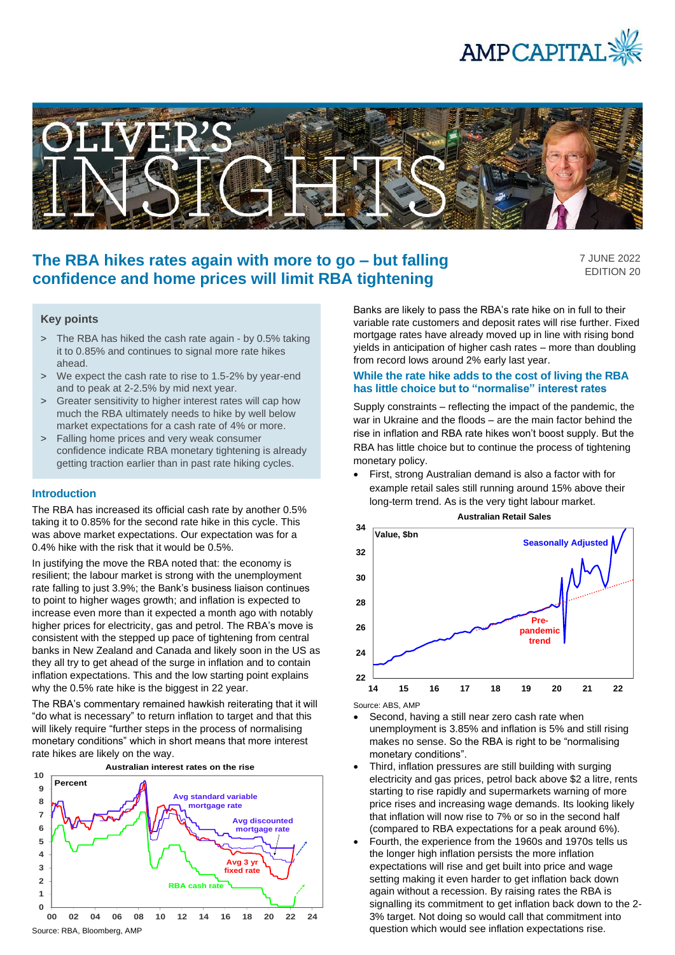



# **The RBA hikes rates again with more to go – but falling confidence and home prices will limit RBA tightening**

7 JUNE 2022 EDITION 20

# **Key points**

- > The RBA has hiked the cash rate again by 0.5% taking it to 0.85% and continues to signal more rate hikes ahead.
- > We expect the cash rate to rise to 1.5-2% by year-end and to peak at 2-2.5% by mid next year.
- > Greater sensitivity to higher interest rates will cap how much the RBA ultimately needs to hike by well below market expectations for a cash rate of 4% or more.
- > Falling home prices and very weak consumer confidence indicate RBA monetary tightening is already getting traction earlier than in past rate hiking cycles.

#### **Introduction**

The RBA has increased its official cash rate by another 0.5% taking it to 0.85% for the second rate hike in this cycle. This was above market expectations. Our expectation was for a 0.4% hike with the risk that it would be 0.5%.

In justifying the move the RBA noted that: the economy is resilient; the labour market is strong with the unemployment rate falling to just 3.9%; the Bank's business liaison continues to point to higher wages growth; and inflation is expected to increase even more than it expected a month ago with notably higher prices for electricity, gas and petrol. The RBA's move is consistent with the stepped up pace of tightening from central banks in New Zealand and Canada and likely soon in the US as they all try to get ahead of the surge in inflation and to contain inflation expectations. This and the low starting point explains why the 0.5% rate hike is the biggest in 22 year.

The RBA's commentary remained hawkish reiterating that it will "do what is necessary" to return inflation to target and that this will likely require "further steps in the process of normalising monetary conditions" which in short means that more interest rate hikes are likely on the way.



Banks are likely to pass the RBA's rate hike on in full to their variable rate customers and deposit rates will rise further. Fixed mortgage rates have already moved up in line with rising bond yields in anticipation of higher cash rates – more than doubling from record lows around 2% early last year.

## **While the rate hike adds to the cost of living the RBA has little choice but to "normalise" interest rates**

Supply constraints – reflecting the impact of the pandemic, the war in Ukraine and the floods – are the main factor behind the rise in inflation and RBA rate hikes won't boost supply. But the RBA has little choice but to continue the process of tightening monetary policy.

• First, strong Australian demand is also a factor with for example retail sales still running around 15% above their long-term trend. As is the very tight labour market.



Source: ABS, AMP

- Second, having a still near zero cash rate when unemployment is 3.85% and inflation is 5% and still rising makes no sense. So the RBA is right to be "normalising monetary conditions".
- Third, inflation pressures are still building with surging electricity and gas prices, petrol back above \$2 a litre, rents starting to rise rapidly and supermarkets warning of more price rises and increasing wage demands. Its looking likely that inflation will now rise to 7% or so in the second half (compared to RBA expectations for a peak around 6%).
- Fourth, the experience from the 1960s and 1970s tells us the longer high inflation persists the more inflation expectations will rise and get built into price and wage setting making it even harder to get inflation back down again without a recession. By raising rates the RBA is signalling its commitment to get inflation back down to the 2- 3% target. Not doing so would call that commitment into question which would see inflation expectations rise.